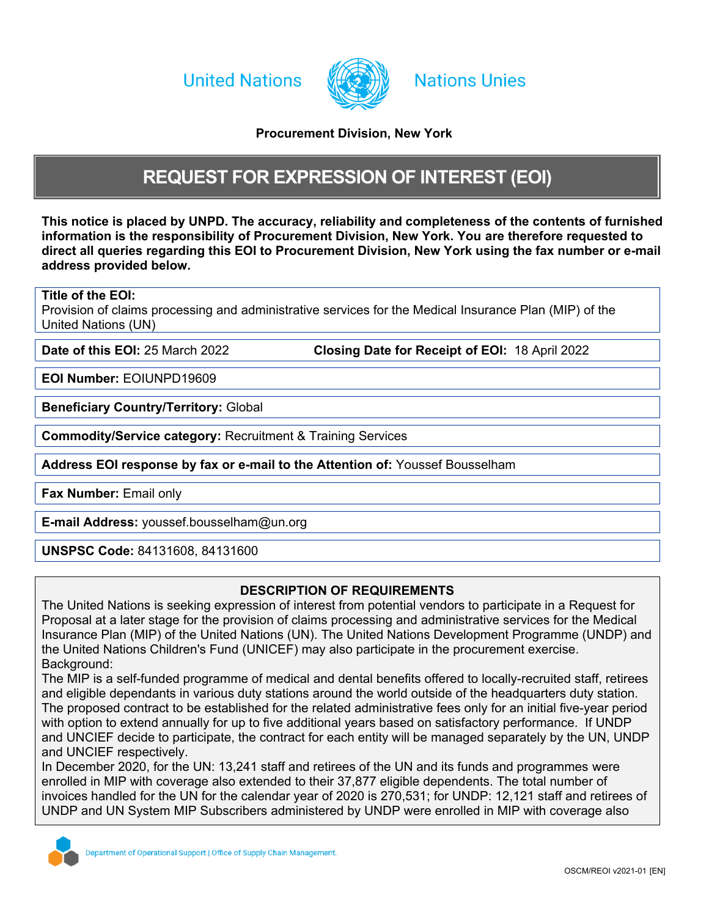**United Nations** 



## **Nations Unies**

## <span id="page-0-0"></span>**Procurement Division, New York**

## <span id="page-0-2"></span>**REQUEST FOR EXPRESSION OF INTEREST (EOI)**

This notice is p[l](#page-0-0)aced by UNPD. The accuracy, reliability and completeness of the contents of furnished **information is the responsibility of [Procurement](#page-0-0) [Division,](#page-0-0) [New](#page-0-0) [York.](#page-0-0) You are therefore requested to direct all queries regarding this EOI to [Procurement](#page-0-0) [Division,](#page-0-0) [New](#page-0-0) [York](#page-0-0) using the fax number or e-mail address provided below.**

## **Title of the EOI:**

Provision of claims processing and administrative services for the Medical Insurance Plan (MIP) of the United Nations (UN)

**Date of this EOI:** 25 March 2022 **Closing Date for Receipt of EOI:** 18 April 2022

**EOI Number:** EOIUNPD19609

**Beneficiary Country/Territory:** Global

**Commodity/Service category:** Recruitment & Training Services

**Address EOI response by fax or e-mail to the Attention of:** Youssef Bousselham

**Fax Number:** Email only

<span id="page-0-1"></span>**E-mail Address:** youssef.bousselham@un.org

**UNSPSC Code:** 84131608, 84131600

### **DESCRIPTION OF REQUIREMENTS**

The United Nations is seeking expression of interest from potential vendors to participate in a Request for Proposal at a later stage for the provision of claims processing and administrative services for the Medical Insurance Plan (MIP) of the United Nations (UN). The United Nations Development Programme (UNDP) and the United Nations Children's Fund (UNICEF) may also participate in the procurement exercise. Background:

The MIP is a self-funded programme of medical and dental benefits offered to locally-recruited staff, retirees and eligible dependants in various duty stations around the world outside of the headquarters duty station. The proposed contract to be established for the related administrative fees only for an initial five-year period with option to extend annually for up to five additional years based on satisfactory performance. If UNDP and UNCIEF decide to participate, the contract for each entity will be managed separately by the UN, UNDP and UNCIEF respectively.

In December 2020, for the UN: 13,241 staff and retirees of the UN and its funds and programmes were enrolled in MIP with coverage also extended to their 37,877 eligible dependents. The total number of invoices handled for the UN for the calendar year of 2020 is 270,531; for UNDP: 12,121 staff and retirees of UNDP and UN System MIP Subscribers administered by UNDP were enrolled in MIP with coverage also

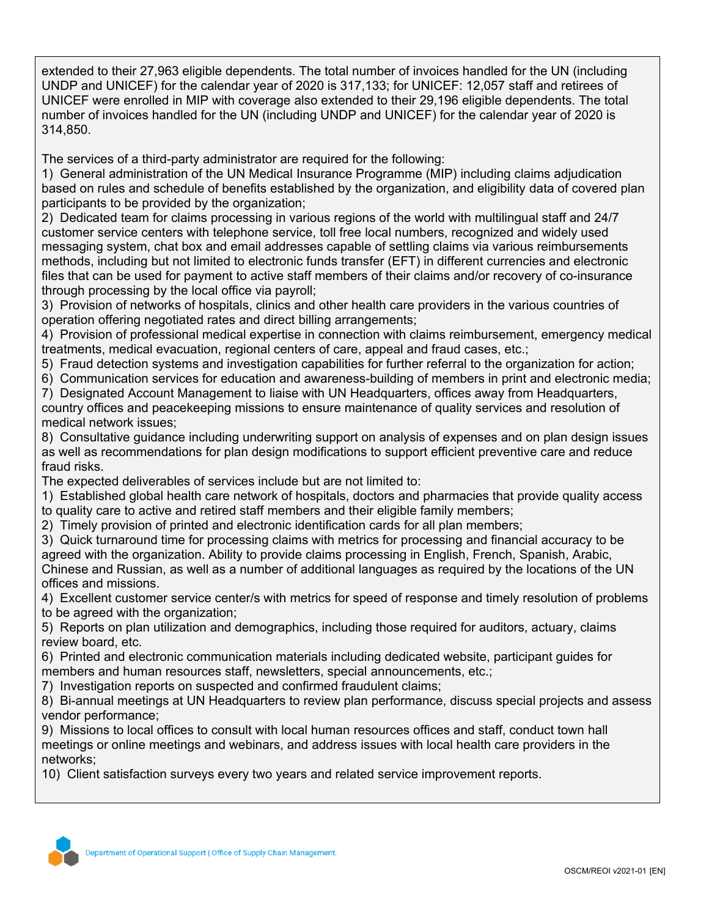extended to their 27,963 eligible dependents. The total number of invoices handled for the UN (including UNDP and UNICEF) for the calendar year of 2020 is 317,133; for UNICEF: 12,057 staff and retirees of UNICEF were enrolled in MIP with coverage also extended to their 29,196 eligible dependents. The total number of invoices handled for the UN (including UNDP and UNICEF) for the calendar year of 2020 is 314,850.

The services of a third-party administrator are required for the following:

1) General administration of the UN Medical Insurance Programme (MIP) including claims adjudication based on rules and schedule of benefits established by the organization, and eligibility data of covered plan participants to be provided by the organization;

2) Dedicated team for claims processing in various regions of the world with multilingual staff and 24/7 customer service centers with telephone service, toll free local numbers, recognized and widely used messaging system, chat box and email addresses capable of settling claims via various reimbursements methods, including but not limited to electronic funds transfer (EFT) in different currencies and electronic files that can be used for payment to active staff members of their claims and/or recovery of co-insurance through processing by the local office via payroll;

3) Provision of networks of hospitals, clinics and other health care providers in the various countries of operation offering negotiated rates and direct billing arrangements;

4) Provision of professional medical expertise in connection with claims reimbursement, emergency medical treatments, medical evacuation, regional centers of care, appeal and fraud cases, etc.;

- 5) Fraud detection systems and investigation capabilities for further referral to the organization for action;
- 6) Communication services for education and awareness-building of members in print and electronic media;

7) Designated Account Management to liaise with UN Headquarters, offices away from Headquarters, country offices and peacekeeping missions to ensure maintenance of quality services and resolution of medical network issues;

8) Consultative guidance including underwriting support on analysis of expenses and on plan design issues as well as recommendations for plan design modifications to support efficient preventive care and reduce fraud risks.

The expected deliverables of services include but are not limited to:

1) Established global health care network of hospitals, doctors and pharmacies that provide quality access to quality care to active and retired staff members and their eligible family members;

2) Timely provision of printed and electronic identification cards for all plan members;

3) Quick turnaround time for processing claims with metrics for processing and financial accuracy to be agreed with the organization. Ability to provide claims processing in English, French, Spanish, Arabic, Chinese and Russian, as well as a number of additional languages as required by the locations of the UN offices and missions.

4) Excellent customer service center/s with metrics for speed of response and timely resolution of problems to be agreed with the organization;

5) Reports on plan utilization and demographics, including those required for auditors, actuary, claims review board, etc.

6) Printed and electronic communication materials including dedicated website, participant guides for members and human resources staff, newsletters, special announcements, etc.;

7) Investigation reports on suspected and confirmed fraudulent claims;

8) Bi-annual meetings at UN Headquarters to review plan performance, discuss special projects and assess vendor performance;

9) Missions to local offices to consult with local human resources offices and staff, conduct town hall meetings or online meetings and webinars, and address issues with local health care providers in the networks;

10) Client satisfaction surveys every two years and related service improvement reports.

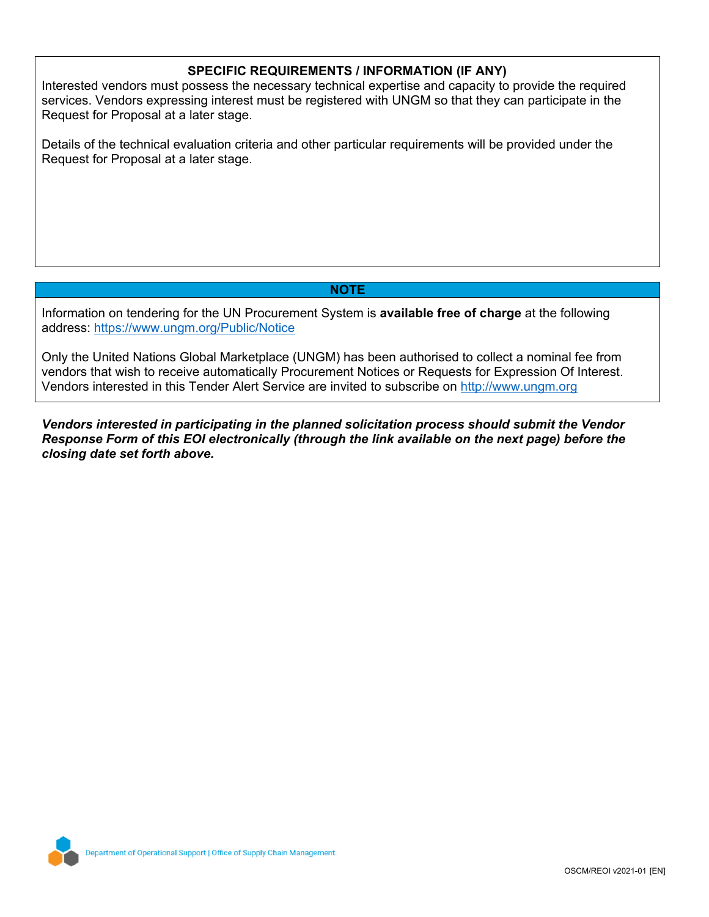## **SPECIFIC REQUIREMENTS / INFORMATION (IF ANY)**

Interested vendors must possess the necessary technical expertise and capacity to provide the required services. Vendors expressing interest must be registered with UNGM so that they can participate in the Request for Proposal at a later stage.

Details of the technical evaluation criteria and other particular requirements will be provided under the Request for Proposal at a later stage.

## **NOTE**

Information on tendering for the UN Procurement System is **available free of charge** at the following address: <https://www.ungm.org/Public/Notice>

Only the United Nations Global Marketplace (UNGM) has been authorised to collect a nominal fee from vendors that wish to receive automatically Procurement Notices or Requests for Expression Of Interest. Vendors interested in this Tender Alert Service are invited to subscribe on [http://www.ungm.org](http://www.ungm.org/)

*Vendors interested in participating in the planned solicitation process should submit the Vendor Response Form of this EOI electronically (through the link available on the next page) before the closing date set forth above.*

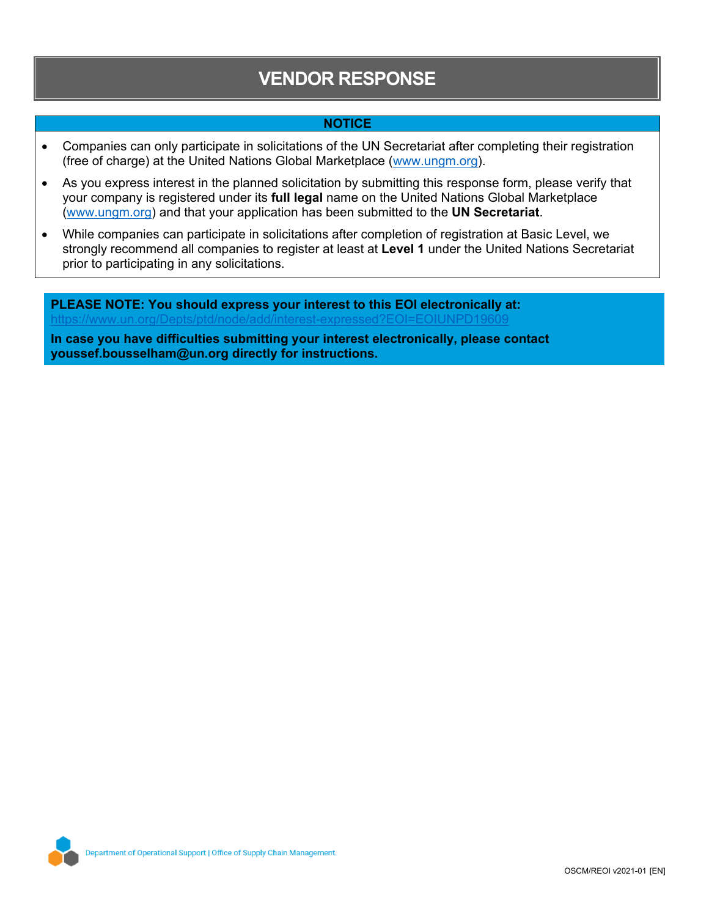# **VENDOR RESPONSE**

## **NOTICE**

- Companies can only participate in solicitations of the UN Secretariat after completing their registration (free of charge) at the United Nations Global Marketplace ([www.ungm.org\)](http://www.ungm.org/).
- As you express interest in the planned solicitation by submitting this response form, please verify that your company is registered under its **full legal** name on the United Nations Global Marketplace ([www.ungm.org\)](http://www.ungm.org/) and that your application has been submitted to the **UN Secretariat**.
- While companies can participate in solicitations after completion of registration at Basic Level, we strongly recommend all companies to register at least at **Level 1** under the United Nations Secretariat prior to participating in any solicitations.

**PLEASE NOTE: You should express your interest to this EOI electronically at:** https://www.un.org/Depts/ptd/node/add/interest-expressed?EOI=EOIUNPD19609 **In case you have difficulties submitting your interest electronically, please contact**

**[youssef.bousselham@un.org](#page-0-1) directly for instructions.**